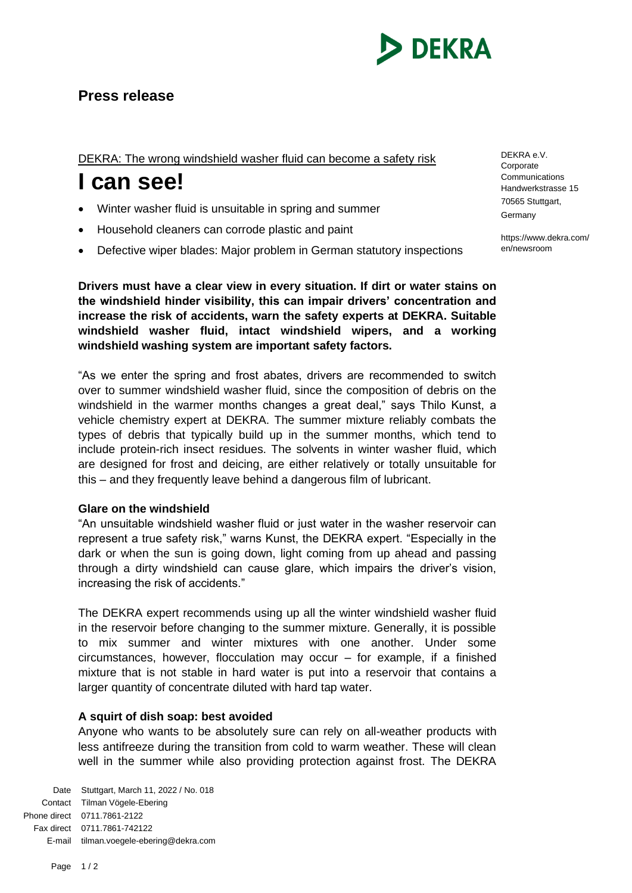

# **Press release**

DEKRA: The wrong windshield washer fluid can become a safety risk

# **I can see!**

- Winter washer fluid is unsuitable in spring and summer
- Household cleaners can corrode plastic and paint
- Defective wiper blades: Major problem in German statutory inspections

**Drivers must have a clear view in every situation. If dirt or water stains on the windshield hinder visibility, this can impair drivers' concentration and increase the risk of accidents, warn the safety experts at DEKRA. Suitable windshield washer fluid, intact windshield wipers, and a working windshield washing system are important safety factors.**

"As we enter the spring and frost abates, drivers are recommended to switch over to summer windshield washer fluid, since the composition of debris on the windshield in the warmer months changes a great deal," says Thilo Kunst, a vehicle chemistry expert at DEKRA. The summer mixture reliably combats the types of debris that typically build up in the summer months, which tend to include protein-rich insect residues. The solvents in winter washer fluid, which are designed for frost and deicing, are either relatively or totally unsuitable for this – and they frequently leave behind a dangerous film of lubricant.

## **Glare on the windshield**

"An unsuitable windshield washer fluid or just water in the washer reservoir can represent a true safety risk," warns Kunst, the DEKRA expert. "Especially in the dark or when the sun is going down, light coming from up ahead and passing through a dirty windshield can cause glare, which impairs the driver's vision, increasing the risk of accidents."

The DEKRA expert recommends using up all the winter windshield washer fluid in the reservoir before changing to the summer mixture. Generally, it is possible to mix summer and winter mixtures with one another. Under some circumstances, however, flocculation may occur – for example, if a finished mixture that is not stable in hard water is put into a reservoir that contains a larger quantity of concentrate diluted with hard tap water.

## **A squirt of dish soap: best avoided**

Anyone who wants to be absolutely sure can rely on all-weather products with less antifreeze during the transition from cold to warm weather. These will clean well in the summer while also providing protection against frost. The DEKRA

Date Stuttgart, March 11, 2022 / No. 018 Contact Tilman Vögele-Ebering Phone direct 0711.7861-2122 Fax direct 0711.7861-742122 E-mail tilman.voegele-ebering@dekra.com DEKRA e.V. Corporate Communications Handwerkstrasse 15 70565 Stuttgart, Germany

https://www.dekra.com/ en/newsroom